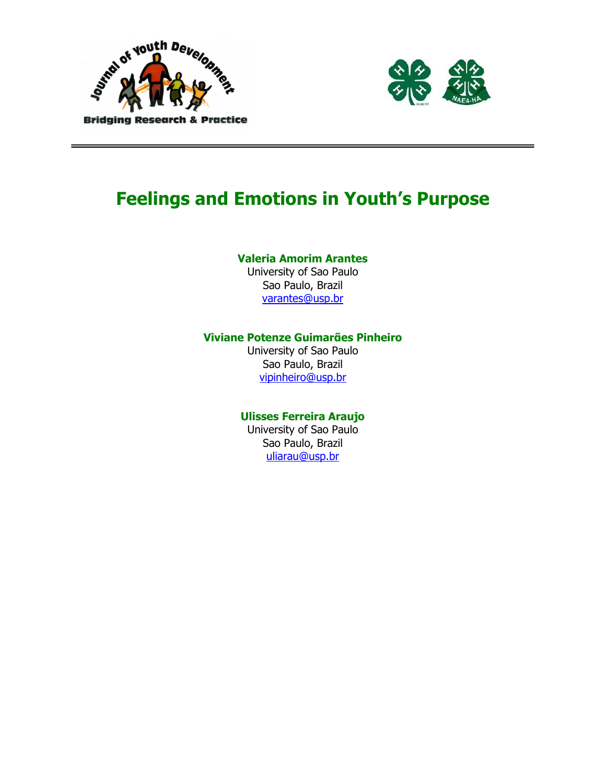



# Feelings and Emotions in Youth's Purpose

#### Valeria Amorim Arantes

University of Sao Paulo Sao Paulo, Brazil varantes@usp.br

#### Viviane Potenze Guimarᾶes Pinheiro

University of Sao Paulo Sao Paulo, Brazil vipinheiro@usp.br

#### Ulisses Ferreira Araujo

University of Sao Paulo Sao Paulo, Brazil uliarau@usp.br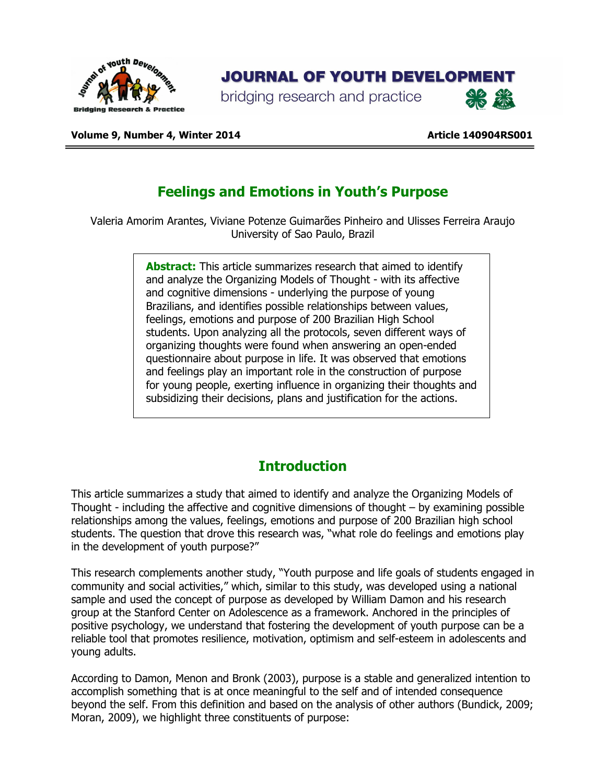

## **JOURNAL OF YOUTH DEVELOPMENT**

bridging research and practice



Volume 9, Number 4, Winter 2014 **Article 140904RS001** Article 140904RS001

## Feelings and Emotions in Youth's Purpose

Valeria Amorim Arantes, Viviane Potenze Guimarᾶes Pinheiro and Ulisses Ferreira Araujo University of Sao Paulo, Brazil

> Abstract: This article summarizes research that aimed to identify and analyze the Organizing Models of Thought - with its affective and cognitive dimensions - underlying the purpose of young Brazilians, and identifies possible relationships between values, feelings, emotions and purpose of 200 Brazilian High School students. Upon analyzing all the protocols, seven different ways of organizing thoughts were found when answering an open-ended questionnaire about purpose in life. It was observed that emotions and feelings play an important role in the construction of purpose for young people, exerting influence in organizing their thoughts and subsidizing their decisions, plans and justification for the actions.

## **Introduction**

This article summarizes a study that aimed to identify and analyze the Organizing Models of Thought - including the affective and cognitive dimensions of thought – by examining possible relationships among the values, feelings, emotions and purpose of 200 Brazilian high school students. The question that drove this research was, "what role do feelings and emotions play in the development of youth purpose?"

This research complements another study, "Youth purpose and life goals of students engaged in community and social activities," which, similar to this study, was developed using a national sample and used the concept of purpose as developed by William Damon and his research group at the Stanford Center on Adolescence as a framework. Anchored in the principles of positive psychology, we understand that fostering the development of youth purpose can be a reliable tool that promotes resilience, motivation, optimism and self-esteem in adolescents and young adults.

According to Damon, Menon and Bronk (2003), purpose is a stable and generalized intention to accomplish something that is at once meaningful to the self and of intended consequence beyond the self. From this definition and based on the analysis of other authors (Bundick, 2009; Moran, 2009), we highlight three constituents of purpose: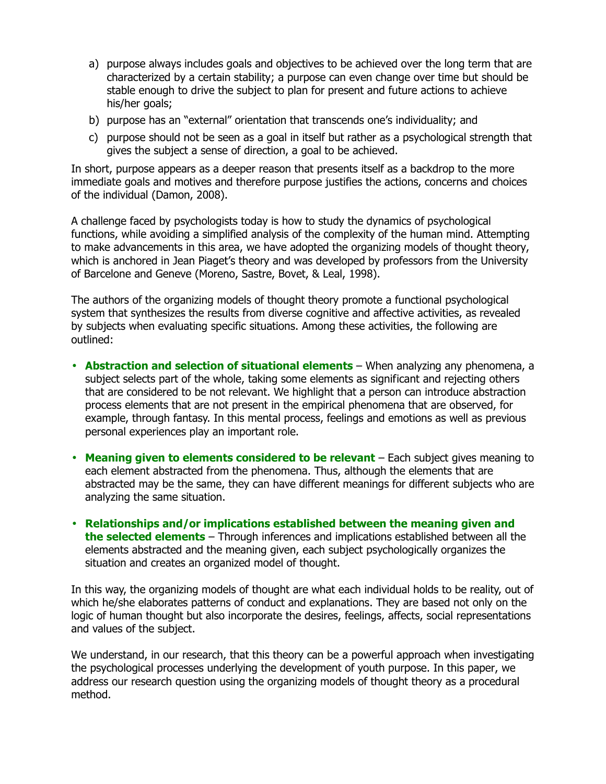- a) purpose always includes goals and objectives to be achieved over the long term that are characterized by a certain stability; a purpose can even change over time but should be stable enough to drive the subject to plan for present and future actions to achieve his/her goals;
- b) purpose has an "external" orientation that transcends one's individuality; and
- c) purpose should not be seen as a goal in itself but rather as a psychological strength that gives the subject a sense of direction, a goal to be achieved.

In short, purpose appears as a deeper reason that presents itself as a backdrop to the more immediate goals and motives and therefore purpose justifies the actions, concerns and choices of the individual (Damon, 2008).

A challenge faced by psychologists today is how to study the dynamics of psychological functions, while avoiding a simplified analysis of the complexity of the human mind. Attempting to make advancements in this area, we have adopted the organizing models of thought theory, which is anchored in Jean Piaget's theory and was developed by professors from the University of Barcelone and Geneve (Moreno, Sastre, Bovet, & Leal, 1998).

The authors of the organizing models of thought theory promote a functional psychological system that synthesizes the results from diverse cognitive and affective activities, as revealed by subjects when evaluating specific situations. Among these activities, the following are outlined:

- Abstraction and selection of situational elements When analyzing any phenomena, a subject selects part of the whole, taking some elements as significant and rejecting others that are considered to be not relevant. We highlight that a person can introduce abstraction process elements that are not present in the empirical phenomena that are observed, for example, through fantasy. In this mental process, feelings and emotions as well as previous personal experiences play an important role.
- Meaning given to elements considered to be relevant Each subject gives meaning to each element abstracted from the phenomena. Thus, although the elements that are abstracted may be the same, they can have different meanings for different subjects who are analyzing the same situation.
- Relationships and/or implications established between the meaning given and the selected elements – Through inferences and implications established between all the elements abstracted and the meaning given, each subject psychologically organizes the situation and creates an organized model of thought.

In this way, the organizing models of thought are what each individual holds to be reality, out of which he/she elaborates patterns of conduct and explanations. They are based not only on the logic of human thought but also incorporate the desires, feelings, affects, social representations and values of the subject.

We understand, in our research, that this theory can be a powerful approach when investigating the psychological processes underlying the development of youth purpose. In this paper, we address our research question using the organizing models of thought theory as a procedural method.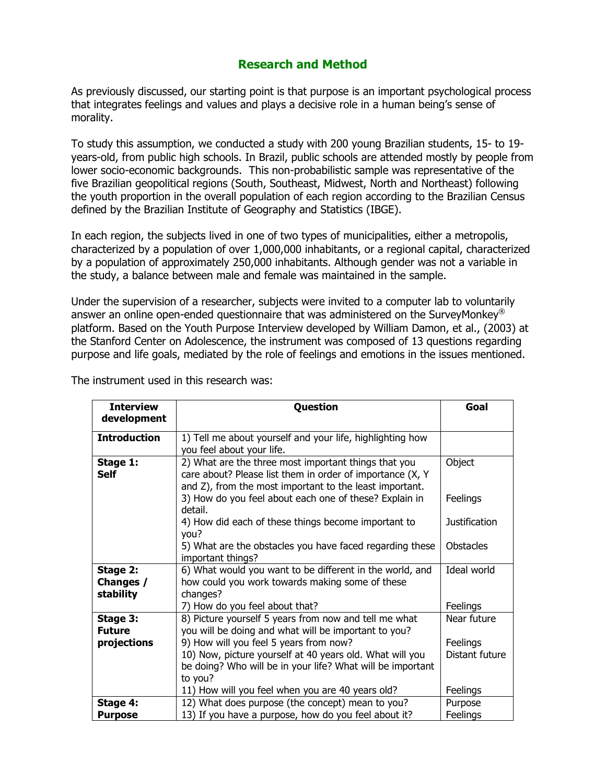#### Research and Method

As previously discussed, our starting point is that purpose is an important psychological process that integrates feelings and values and plays a decisive role in a human being's sense of morality.

To study this assumption, we conducted a study with 200 young Brazilian students, 15- to 19 years-old, from public high schools. In Brazil, public schools are attended mostly by people from lower socio-economic backgrounds. This non-probabilistic sample was representative of the five Brazilian geopolitical regions (South, Southeast, Midwest, North and Northeast) following the youth proportion in the overall population of each region according to the Brazilian Census defined by the Brazilian Institute of Geography and Statistics (IBGE).

In each region, the subjects lived in one of two types of municipalities, either a metropolis, characterized by a population of over 1,000,000 inhabitants, or a regional capital, characterized by a population of approximately 250,000 inhabitants. Although gender was not a variable in the study, a balance between male and female was maintained in the sample.

Under the supervision of a researcher, subjects were invited to a computer lab to voluntarily answer an online open-ended questionnaire that was administered on the SurveyMonkey<sup>®</sup> platform. Based on the Youth Purpose Interview developed by William Damon, et al., (2003) at the Stanford Center on Adolescence, the instrument was composed of 13 questions regarding purpose and life goals, mediated by the role of feelings and emotions in the issues mentioned.

| <b>Interview</b><br>development | Question                                                   | Goal                 |
|---------------------------------|------------------------------------------------------------|----------------------|
|                                 |                                                            |                      |
| <b>Introduction</b>             | 1) Tell me about yourself and your life, highlighting how  |                      |
|                                 | you feel about your life.                                  |                      |
| Stage 1:                        | 2) What are the three most important things that you       | Object               |
| <b>Self</b>                     | care about? Please list them in order of importance (X, Y  |                      |
|                                 | and Z), from the most important to the least important.    |                      |
|                                 | 3) How do you feel about each one of these? Explain in     | Feelings             |
|                                 | detail.                                                    |                      |
|                                 | 4) How did each of these things become important to        | <b>Justification</b> |
|                                 | you?                                                       |                      |
|                                 | 5) What are the obstacles you have faced regarding these   | <b>Obstacles</b>     |
|                                 | important things?                                          |                      |
| Stage 2:                        | 6) What would you want to be different in the world, and   | Ideal world          |
| Changes /                       | how could you work towards making some of these            |                      |
| stability                       | changes?                                                   |                      |
|                                 | 7) How do you feel about that?                             | Feelings             |
| Stage 3:                        | 8) Picture yourself 5 years from now and tell me what      | Near future          |
| <b>Future</b>                   | you will be doing and what will be important to you?       |                      |
| projections                     | 9) How will you feel 5 years from now?                     | Feelings             |
|                                 | 10) Now, picture yourself at 40 years old. What will you   | Distant future       |
|                                 | be doing? Who will be in your life? What will be important |                      |
|                                 | to you?                                                    |                      |
|                                 | 11) How will you feel when you are 40 years old?           | Feelings             |
| Stage 4:                        | 12) What does purpose (the concept) mean to you?           | Purpose              |
| <b>Purpose</b>                  | 13) If you have a purpose, how do you feel about it?       | Feelings             |

The instrument used in this research was: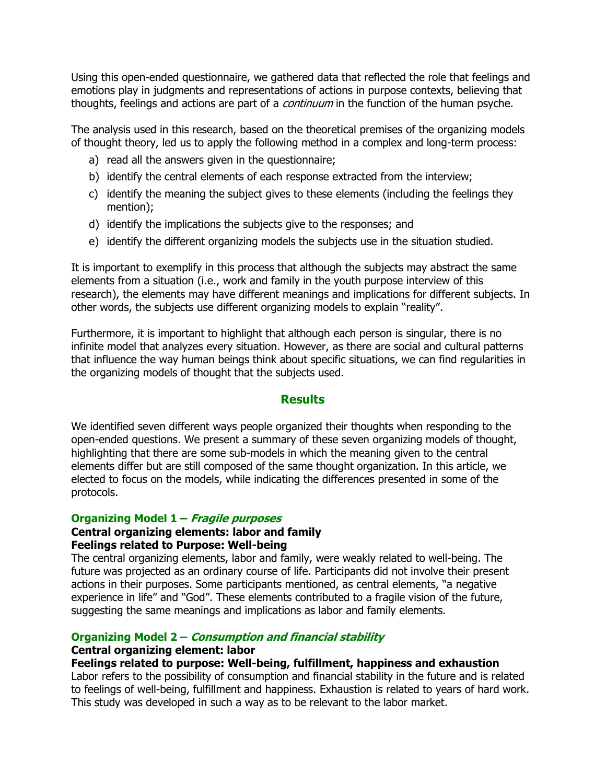Using this open-ended questionnaire, we gathered data that reflected the role that feelings and emotions play in judgments and representations of actions in purpose contexts, believing that thoughts, feelings and actions are part of a *continuum* in the function of the human psyche.

The analysis used in this research, based on the theoretical premises of the organizing models of thought theory, led us to apply the following method in a complex and long-term process:

- a) read all the answers given in the questionnaire;
- b) identify the central elements of each response extracted from the interview;
- c) identify the meaning the subject gives to these elements (including the feelings they mention);
- d) identify the implications the subjects give to the responses; and
- e) identify the different organizing models the subjects use in the situation studied.

It is important to exemplify in this process that although the subjects may abstract the same elements from a situation (i.e., work and family in the youth purpose interview of this research), the elements may have different meanings and implications for different subjects. In other words, the subjects use different organizing models to explain "reality".

Furthermore, it is important to highlight that although each person is singular, there is no infinite model that analyzes every situation. However, as there are social and cultural patterns that influence the way human beings think about specific situations, we can find regularities in the organizing models of thought that the subjects used.

#### **Results**

We identified seven different ways people organized their thoughts when responding to the open-ended questions. We present a summary of these seven organizing models of thought, highlighting that there are some sub-models in which the meaning given to the central elements differ but are still composed of the same thought organization. In this article, we elected to focus on the models, while indicating the differences presented in some of the protocols.

#### Organizing Model 1 – Fragile purposes

#### Central organizing elements: labor and family Feelings related to Purpose: Well-being

The central organizing elements, labor and family, were weakly related to well-being. The future was projected as an ordinary course of life. Participants did not involve their present actions in their purposes. Some participants mentioned, as central elements, "a negative experience in life" and "God". These elements contributed to a fragile vision of the future, suggesting the same meanings and implications as labor and family elements.

#### Organizing Model 2 – Consumption and financial stability

#### Central organizing element: labor

#### Feelings related to purpose: Well-being, fulfillment, happiness and exhaustion

Labor refers to the possibility of consumption and financial stability in the future and is related to feelings of well-being, fulfillment and happiness. Exhaustion is related to years of hard work. This study was developed in such a way as to be relevant to the labor market.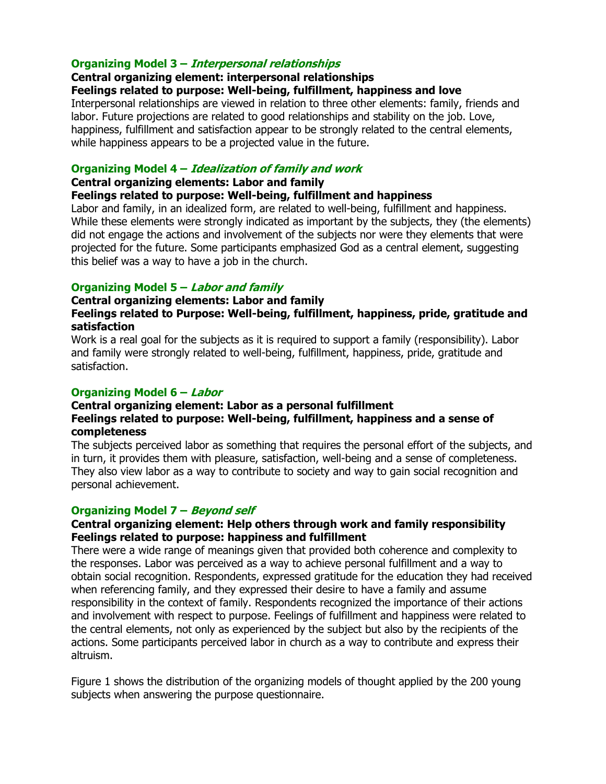#### Organizing Model 3 – Interpersonal relationships

#### Central organizing element: interpersonal relationships

#### Feelings related to purpose: Well-being, fulfillment, happiness and love

Interpersonal relationships are viewed in relation to three other elements: family, friends and labor. Future projections are related to good relationships and stability on the job. Love, happiness, fulfillment and satisfaction appear to be strongly related to the central elements, while happiness appears to be a projected value in the future.

#### Organizing Model 4 – Idealization of family and work

#### Central organizing elements: Labor and family

Feelings related to purpose: Well-being, fulfillment and happiness

Labor and family, in an idealized form, are related to well-being, fulfillment and happiness. While these elements were strongly indicated as important by the subjects, they (the elements) did not engage the actions and involvement of the subjects nor were they elements that were projected for the future. Some participants emphasized God as a central element, suggesting this belief was a way to have a job in the church.

#### Organizing Model 5 – Labor and family

#### Central organizing elements: Labor and family Feelings related to Purpose: Well-being, fulfillment, happiness, pride, gratitude and satisfaction

Work is a real goal for the subjects as it is required to support a family (responsibility). Labor and family were strongly related to well-being, fulfillment, happiness, pride, gratitude and satisfaction.

#### Organizing Model 6 – Labor

#### Central organizing element: Labor as a personal fulfillment Feelings related to purpose: Well-being, fulfillment, happiness and a sense of completeness

The subjects perceived labor as something that requires the personal effort of the subjects, and in turn, it provides them with pleasure, satisfaction, well-being and a sense of completeness. They also view labor as a way to contribute to society and way to gain social recognition and personal achievement.

#### Organizing Model 7 – Beyond self

#### Central organizing element: Help others through work and family responsibility Feelings related to purpose: happiness and fulfillment

There were a wide range of meanings given that provided both coherence and complexity to the responses. Labor was perceived as a way to achieve personal fulfillment and a way to obtain social recognition. Respondents, expressed gratitude for the education they had received when referencing family, and they expressed their desire to have a family and assume responsibility in the context of family. Respondents recognized the importance of their actions and involvement with respect to purpose. Feelings of fulfillment and happiness were related to the central elements, not only as experienced by the subject but also by the recipients of the actions. Some participants perceived labor in church as a way to contribute and express their altruism.

Figure 1 shows the distribution of the organizing models of thought applied by the 200 young subjects when answering the purpose questionnaire.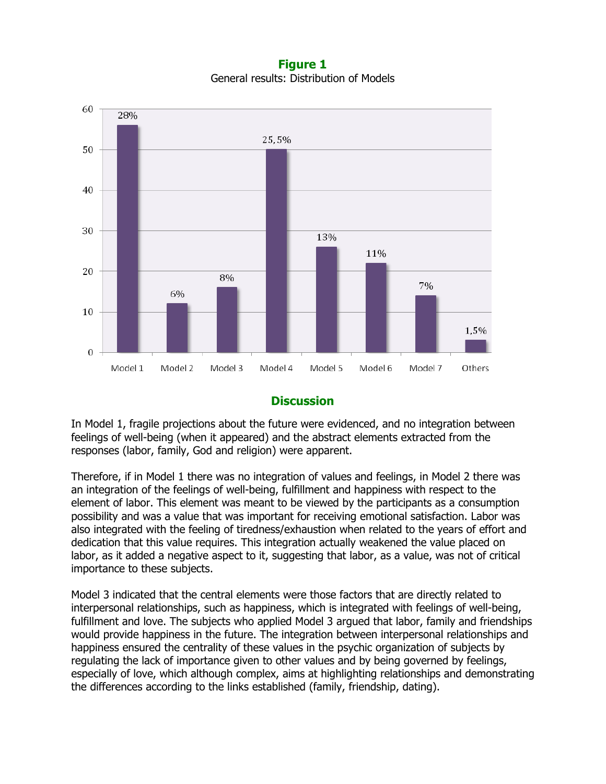Figure 1 General results: Distribution of Models



#### **Discussion**

In Model 1, fragile projections about the future were evidenced, and no integration between feelings of well-being (when it appeared) and the abstract elements extracted from the responses (labor, family, God and religion) were apparent.

Therefore, if in Model 1 there was no integration of values and feelings, in Model 2 there was an integration of the feelings of well-being, fulfillment and happiness with respect to the element of labor. This element was meant to be viewed by the participants as a consumption possibility and was a value that was important for receiving emotional satisfaction. Labor was also integrated with the feeling of tiredness/exhaustion when related to the years of effort and dedication that this value requires. This integration actually weakened the value placed on labor, as it added a negative aspect to it, suggesting that labor, as a value, was not of critical importance to these subjects.

Model 3 indicated that the central elements were those factors that are directly related to interpersonal relationships, such as happiness, which is integrated with feelings of well-being, fulfillment and love. The subjects who applied Model 3 argued that labor, family and friendships would provide happiness in the future. The integration between interpersonal relationships and happiness ensured the centrality of these values in the psychic organization of subjects by regulating the lack of importance given to other values and by being governed by feelings, especially of love, which although complex, aims at highlighting relationships and demonstrating the differences according to the links established (family, friendship, dating).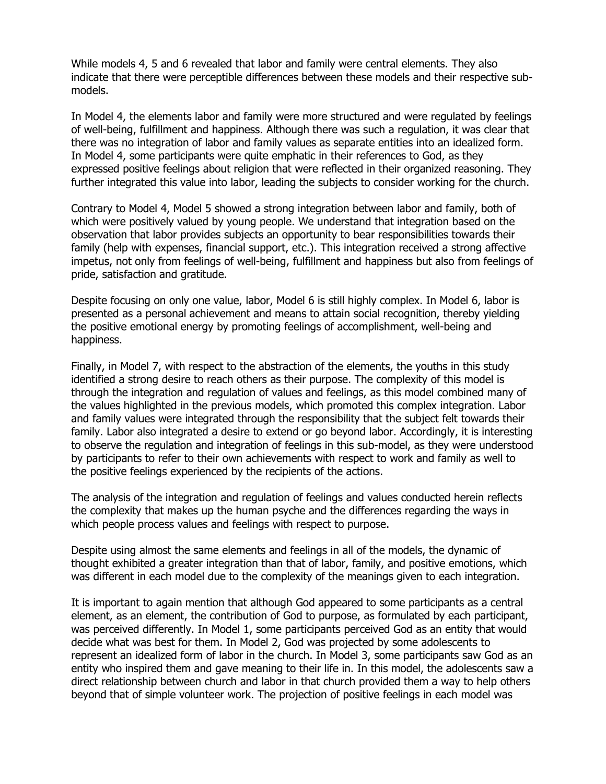While models 4, 5 and 6 revealed that labor and family were central elements. They also indicate that there were perceptible differences between these models and their respective submodels.

In Model 4, the elements labor and family were more structured and were regulated by feelings of well-being, fulfillment and happiness. Although there was such a regulation, it was clear that there was no integration of labor and family values as separate entities into an idealized form. In Model 4, some participants were quite emphatic in their references to God, as they expressed positive feelings about religion that were reflected in their organized reasoning. They further integrated this value into labor, leading the subjects to consider working for the church.

Contrary to Model 4, Model 5 showed a strong integration between labor and family, both of which were positively valued by young people. We understand that integration based on the observation that labor provides subjects an opportunity to bear responsibilities towards their family (help with expenses, financial support, etc.). This integration received a strong affective impetus, not only from feelings of well-being, fulfillment and happiness but also from feelings of pride, satisfaction and gratitude.

Despite focusing on only one value, labor, Model 6 is still highly complex. In Model 6, labor is presented as a personal achievement and means to attain social recognition, thereby yielding the positive emotional energy by promoting feelings of accomplishment, well-being and happiness.

Finally, in Model 7, with respect to the abstraction of the elements, the youths in this study identified a strong desire to reach others as their purpose. The complexity of this model is through the integration and regulation of values and feelings, as this model combined many of the values highlighted in the previous models, which promoted this complex integration. Labor and family values were integrated through the responsibility that the subject felt towards their family. Labor also integrated a desire to extend or go beyond labor. Accordingly, it is interesting to observe the regulation and integration of feelings in this sub-model, as they were understood by participants to refer to their own achievements with respect to work and family as well to the positive feelings experienced by the recipients of the actions.

The analysis of the integration and regulation of feelings and values conducted herein reflects the complexity that makes up the human psyche and the differences regarding the ways in which people process values and feelings with respect to purpose.

Despite using almost the same elements and feelings in all of the models, the dynamic of thought exhibited a greater integration than that of labor, family, and positive emotions, which was different in each model due to the complexity of the meanings given to each integration.

It is important to again mention that although God appeared to some participants as a central element, as an element, the contribution of God to purpose, as formulated by each participant, was perceived differently. In Model 1, some participants perceived God as an entity that would decide what was best for them. In Model 2, God was projected by some adolescents to represent an idealized form of labor in the church. In Model 3, some participants saw God as an entity who inspired them and gave meaning to their life in. In this model, the adolescents saw a direct relationship between church and labor in that church provided them a way to help others beyond that of simple volunteer work. The projection of positive feelings in each model was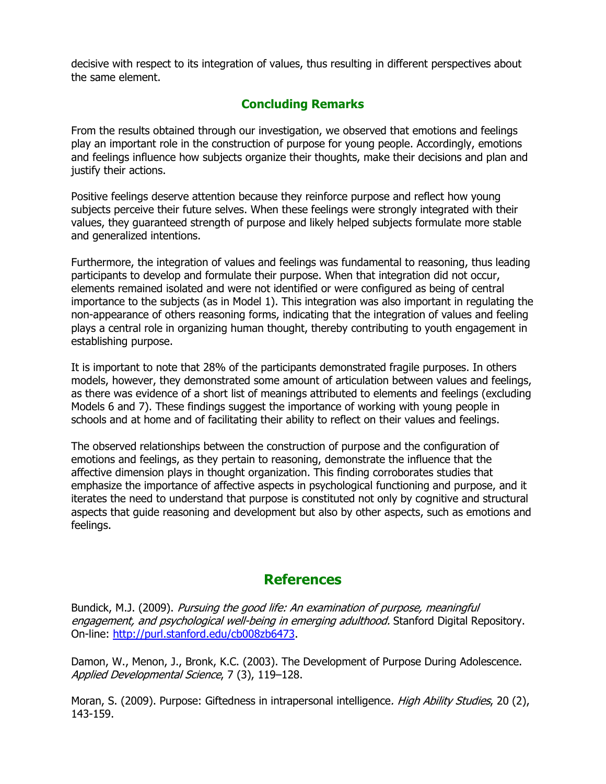decisive with respect to its integration of values, thus resulting in different perspectives about the same element.

### Concluding Remarks

From the results obtained through our investigation, we observed that emotions and feelings play an important role in the construction of purpose for young people. Accordingly, emotions and feelings influence how subjects organize their thoughts, make their decisions and plan and justify their actions.

Positive feelings deserve attention because they reinforce purpose and reflect how young subjects perceive their future selves. When these feelings were strongly integrated with their values, they guaranteed strength of purpose and likely helped subjects formulate more stable and generalized intentions.

Furthermore, the integration of values and feelings was fundamental to reasoning, thus leading participants to develop and formulate their purpose. When that integration did not occur, elements remained isolated and were not identified or were configured as being of central importance to the subjects (as in Model 1). This integration was also important in regulating the non-appearance of others reasoning forms, indicating that the integration of values and feeling plays a central role in organizing human thought, thereby contributing to youth engagement in establishing purpose.

It is important to note that 28% of the participants demonstrated fragile purposes. In others models, however, they demonstrated some amount of articulation between values and feelings, as there was evidence of a short list of meanings attributed to elements and feelings (excluding Models 6 and 7). These findings suggest the importance of working with young people in schools and at home and of facilitating their ability to reflect on their values and feelings.

The observed relationships between the construction of purpose and the configuration of emotions and feelings, as they pertain to reasoning, demonstrate the influence that the affective dimension plays in thought organization. This finding corroborates studies that emphasize the importance of affective aspects in psychological functioning and purpose, and it iterates the need to understand that purpose is constituted not only by cognitive and structural aspects that guide reasoning and development but also by other aspects, such as emotions and feelings.

## **References**

Bundick, M.J. (2009). Pursuing the good life: An examination of purpose, meaningful engagement, and psychological well-being in emerging adulthood. Stanford Digital Repository. On-line: http://purl.stanford.edu/cb008zb6473.

Damon, W., Menon, J., Bronk, K.C. (2003). The Development of Purpose During Adolescence. Applied Developmental Science, 7 (3), 119–128.

Moran, S. (2009). Purpose: Giftedness in intrapersonal intelligence. High Ability Studies, 20 (2), 143-159.